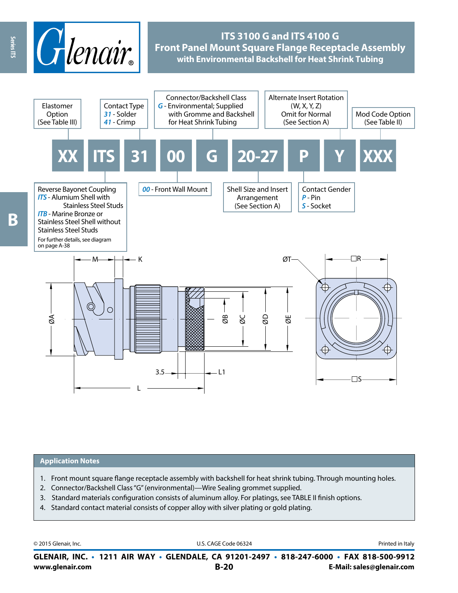

# **ITS 3100 G and ITS 4100 G Front Panel Mount Square Flange Receptacle Assembly with Environmental Backshell for Heat Shrink Tubing**



### **Application Notes**

- 1. Front mount square flange receptacle assembly with backshell for heat shrink tubing. Through mounting holes.
- 2. Connector/Backshell Class "G" (environmental)—Wire Sealing grommet supplied.
- 3. Standard materials configuration consists of aluminum alloy. For platings, see TABLE II finish options.
- 4. Standard contact material consists of copper alloy with silver plating or gold plating.

© 2015 Glenair, Inc. **Discription Construction Construction Construction Construction Construction Construction Construction Construction Construction Construction Construction Construction Construction Construction Constr** 

**www.glenair.com B-20 E-Mail: sales@glenair.com GLENAIR, INC. • 1211 AIR WAY • GLENDALE, CA 91201-2497 • 818-247-6000 • FAX 818-500-9912**